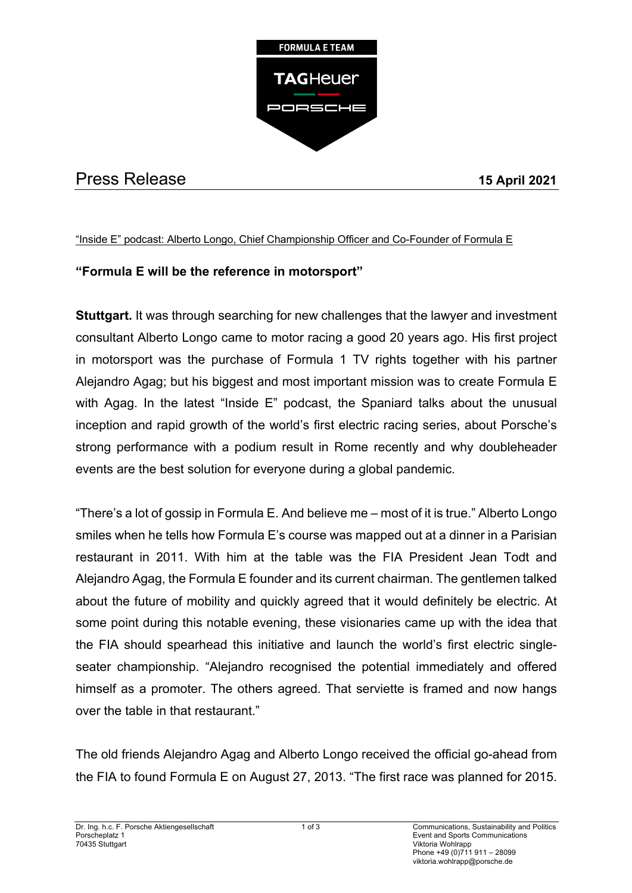

## Press Release **15 April 2021**

## "Inside E" podcast: Alberto Longo, Chief Championship Officer and Co-Founder of Formula E

## **"Formula E will be the reference in motorsport"**

**Stuttgart.** It was through searching for new challenges that the lawyer and investment consultant Alberto Longo came to motor racing a good 20 years ago. His first project in motorsport was the purchase of Formula 1 TV rights together with his partner Alejandro Agag; but his biggest and most important mission was to create Formula E with Agag. In the latest "Inside E" podcast, the Spaniard talks about the unusual inception and rapid growth of the world's first electric racing series, about Porsche's strong performance with a podium result in Rome recently and why doubleheader events are the best solution for everyone during a global pandemic.

"There's a lot of gossip in Formula E. And believe me – most of it is true." Alberto Longo smiles when he tells how Formula E's course was mapped out at a dinner in a Parisian restaurant in 2011. With him at the table was the FIA President Jean Todt and Alejandro Agag, the Formula E founder and its current chairman. The gentlemen talked about the future of mobility and quickly agreed that it would definitely be electric. At some point during this notable evening, these visionaries came up with the idea that the FIA should spearhead this initiative and launch the world's first electric singleseater championship. "Alejandro recognised the potential immediately and offered himself as a promoter. The others agreed. That serviette is framed and now hangs over the table in that restaurant."

The old friends Alejandro Agag and Alberto Longo received the official go-ahead from the FIA to found Formula E on August 27, 2013. "The first race was planned for 2015.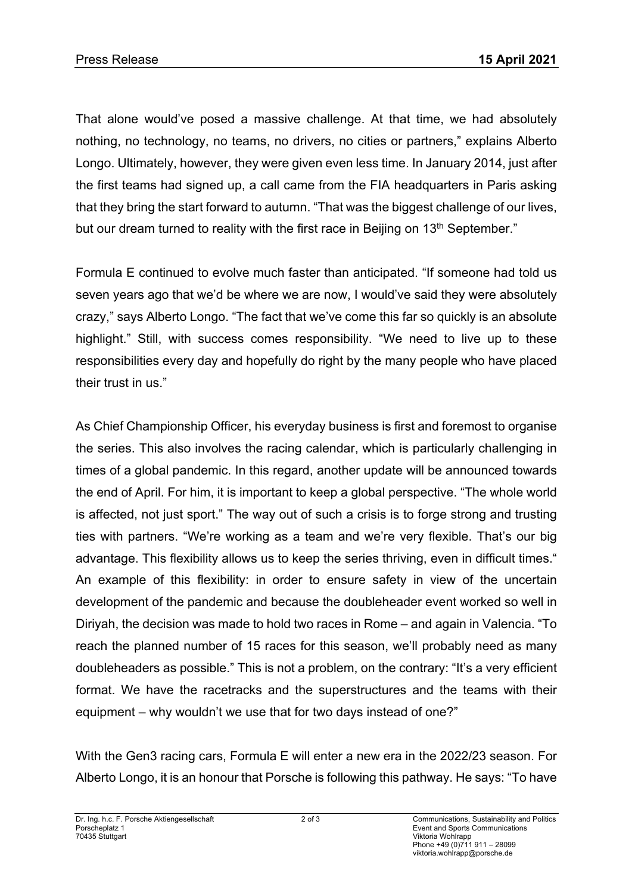That alone would've posed a massive challenge. At that time, we had absolutely nothing, no technology, no teams, no drivers, no cities or partners," explains Alberto Longo. Ultimately, however, they were given even less time. In January 2014, just after the first teams had signed up, a call came from the FIA headquarters in Paris asking that they bring the start forward to autumn. "That was the biggest challenge of our lives, but our dream turned to reality with the first race in Beijing on 13<sup>th</sup> September."

Formula E continued to evolve much faster than anticipated. "If someone had told us seven years ago that we'd be where we are now, I would've said they were absolutely crazy," says Alberto Longo. "The fact that we've come this far so quickly is an absolute highlight." Still, with success comes responsibility. "We need to live up to these responsibilities every day and hopefully do right by the many people who have placed their trust in us."

As Chief Championship Officer, his everyday business is first and foremost to organise the series. This also involves the racing calendar, which is particularly challenging in times of a global pandemic. In this regard, another update will be announced towards the end of April. For him, it is important to keep a global perspective. "The whole world is affected, not just sport." The way out of such a crisis is to forge strong and trusting ties with partners. "We're working as a team and we're very flexible. That's our big advantage. This flexibility allows us to keep the series thriving, even in difficult times." An example of this flexibility: in order to ensure safety in view of the uncertain development of the pandemic and because the doubleheader event worked so well in Diriyah, the decision was made to hold two races in Rome – and again in Valencia. "To reach the planned number of 15 races for this season, we'll probably need as many doubleheaders as possible." This is not a problem, on the contrary: "It's a very efficient format. We have the racetracks and the superstructures and the teams with their equipment – why wouldn't we use that for two days instead of one?"

With the Gen3 racing cars, Formula E will enter a new era in the 2022/23 season. For Alberto Longo, it is an honour that Porsche is following this pathway. He says: "To have